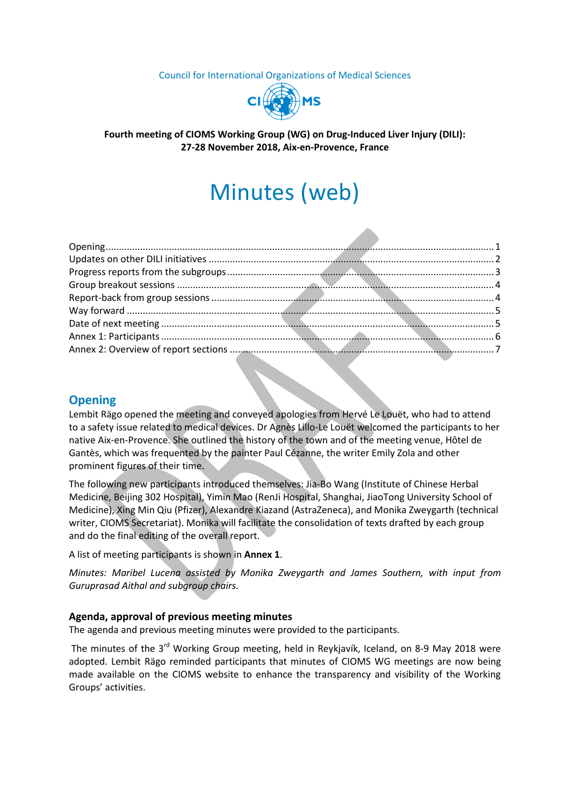#### Council for International Organizations of Medical Sciences



**Fourth meeting of CIOMS Working Group (WG) on Drug-Induced Liver Injury (DILI): 27-28 November 2018, Aix-en-Provence, France**

# Minutes (web)

#### <span id="page-0-0"></span>**Opening**

Lembit Rägo opened the meeting and conveyed apologies from Hervé Le Louët, who had to attend to a safety issue related to medical devices. Dr Agnès Lillo-Le Louët welcomed the participants to her native Aix-en-Provence. She outlined the history of the town and of the meeting venue, Hôtel de Gantès, which was frequented by the painter Paul Cézanne, the writer Emily Zola and other prominent figures of their time.

The following new participants introduced themselves: Jia-Bo Wang (Institute of Chinese Herbal Medicine, Beijing 302 Hospital), Yimin Mao (RenJi Hospital, Shanghai, JiaoTong University School of Medicine), Xing Min Qiu (Pfizer), Alexandre Kiazand (AstraZeneca), and Monika Zweygarth (technical writer, CIOMS Secretariat). Monika will facilitate the consolidation of texts drafted by each group and do the final editing of the overall report.

A list of meeting participants is shown in **Annex 1**.

*Minutes: Maribel Lucena assisted by Monika Zweygarth and James Southern, with input from Guruprasad Aithal and subgroup chairs.*

#### **Agenda, approval of previous meeting minutes**

The agenda and previous meeting minutes were provided to the participants.

The minutes of the 3<sup>rd</sup> Working Group meeting, held in Reykjavík, Iceland, on 8-9 May 2018 were adopted. Lembit Rägo reminded participants that minutes of CIOMS WG meetings are now being made available on the CIOMS website to enhance the transparency and visibility of the Working Groups' activities.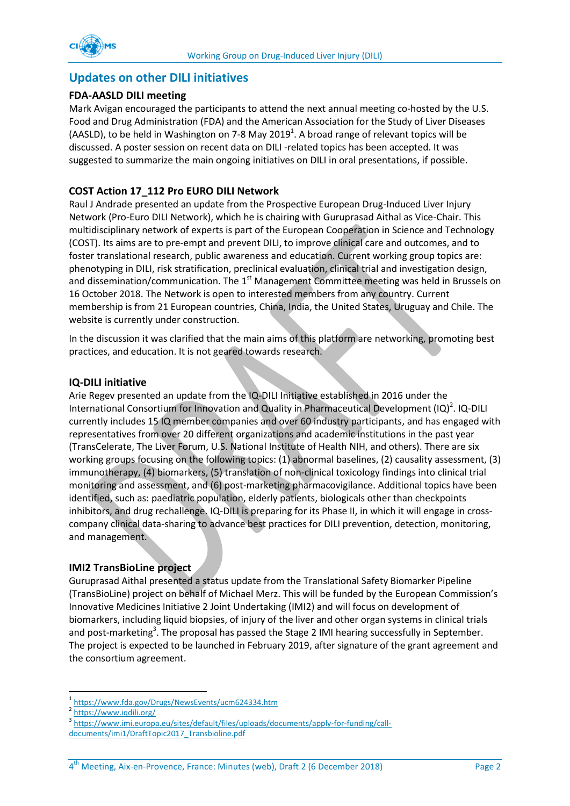

## <span id="page-1-0"></span>**Updates on other DILI initiatives**

#### **FDA-AASLD DILI meeting**

Mark Avigan encouraged the participants to attend the next annual meeting co-hosted by the U.S. Food and Drug Administration (FDA) and the American Association for the Study of Liver Diseases (AASLD), to be held in Washington on 7-8 May 2019<sup>1</sup>. A broad range of relevant topics will be discussed. A poster session on recent data on DILI -related topics has been accepted. It was suggested to summarize the main ongoing initiatives on DILI in oral presentations, if possible.

#### **COST Action 17\_112 Pro EURO DILI Network**

Raul J Andrade presented an update from the Prospective European Drug-Induced Liver Injury Network (Pro-Euro DILI Network), which he is chairing with Guruprasad Aithal as Vice-Chair. This multidisciplinary network of experts is part of the European Cooperation in Science and Technology (COST). Its aims are to pre-empt and prevent DILI, to improve clinical care and outcomes, and to foster translational research, public awareness and education. Current working group topics are: phenotyping in DILI, risk stratification, preclinical evaluation, clinical trial and investigation design, and dissemination/communication. The 1<sup>st</sup> Management Committee meeting was held in Brussels on 16 October 2018. The Network is open to interested members from any country. Current membership is from 21 European countries, China, India, the United States, Uruguay and Chile. The website is currently under construction.

In the discussion it was clarified that the main aims of this platform are networking, promoting best practices, and education. It is not geared towards research.

#### **IQ-DILI initiative**

Arie Regev presented an update from the IQ-DILI Initiative established in 2016 under the International Consortium for Innovation and Quality in Pharmaceutical Development  $\left( \text{IQ}\right) ^{2}$ . IQ-DILI currently includes 15 IQ member companies and over 60 industry participants, and has engaged with representatives from over 20 different organizations and academic institutions in the past year (TransCelerate, The Liver Forum, U.S. National Institute of Health NIH, and others). There are six working groups focusing on the following topics: (1) abnormal baselines, (2) causality assessment, (3) immunotherapy, (4) biomarkers, (5) translation of non-clinical toxicology findings into clinical trial monitoring and assessment, and (6) post-marketing pharmacovigilance. Additional topics have been identified, such as: paediatric population, elderly patients, biologicals other than checkpoints inhibitors, and drug rechallenge. IQ-DILI is preparing for its Phase II, in which it will engage in crosscompany clinical data-sharing to advance best practices for DILI prevention, detection, monitoring, and management.

#### **IMI2 TransBioLine project**

Guruprasad Aithal presented a status update from the Translational Safety Biomarker Pipeline (TransBioLine) project on behalf of Michael Merz. This will be funded by the European Commission's Innovative Medicines Initiative 2 Joint Undertaking (IMI2) and will focus on development of biomarkers, including liquid biopsies, of injury of the liver and other organ systems in clinical trials and post-marketing<sup>3</sup>. The proposal has passed the Stage 2 IMI hearing successfully in September. The project is expected to be launched in February 2019, after signature of the grant agreement and the consortium agreement.

**.** 

<sup>1</sup> <https://www.fda.gov/Drugs/NewsEvents/ucm624334.htm>

<sup>2</sup> <https://www.iqdili.org/>

<sup>3</sup> [https://www.imi.europa.eu/sites/default/files/uploads/documents/apply-for-funding/call](https://www.imi.europa.eu/sites/default/files/uploads/documents/apply-for-funding/call-documents/imi1/DraftTopic2017_Transbioline.pdf)[documents/imi1/DraftTopic2017\\_Transbioline.pdf](https://www.imi.europa.eu/sites/default/files/uploads/documents/apply-for-funding/call-documents/imi1/DraftTopic2017_Transbioline.pdf)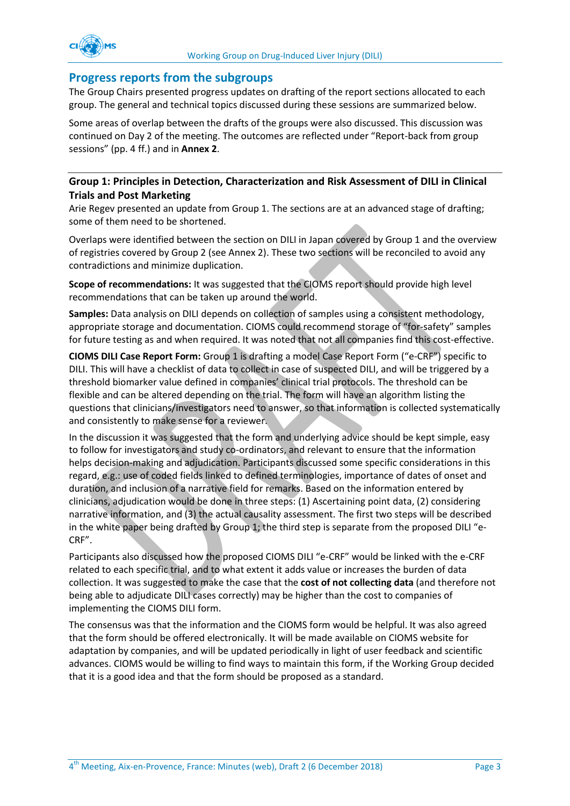

### <span id="page-2-0"></span>**Progress reports from the subgroups**

The Group Chairs presented progress updates on drafting of the report sections allocated to each group. The general and technical topics discussed during these sessions are summarized below.

Some areas of overlap between the drafts of the groups were also discussed. This discussion was continued on Day 2 of the meeting. The outcomes are reflected under "Report-back from group sessions" (pp. [4](#page-3-1) ff.) and in **Annex 2**.

#### **Group 1: Principles in Detection, Characterization and Risk Assessment of DILI in Clinical Trials and Post Marketing**

Arie Regev presented an update from Group 1. The sections are at an advanced stage of drafting; some of them need to be shortened.

Overlaps were identified between the section on DILI in Japan covered by Group 1 and the overview of registries covered by Group 2 (see Annex 2). These two sections will be reconciled to avoid any contradictions and minimize duplication.

**Scope of recommendations:** It was suggested that the CIOMS report should provide high level recommendations that can be taken up around the world.

**Samples:** Data analysis on DILI depends on collection of samples using a consistent methodology, appropriate storage and documentation. CIOMS could recommend storage of "for-safety" samples for future testing as and when required. It was noted that not all companies find this cost-effective.

**CIOMS DILI Case Report Form:** Group 1 is drafting a model Case Report Form ("e-CRF") specific to DILI. This will have a checklist of data to collect in case of suspected DILI, and will be triggered by a threshold biomarker value defined in companies' clinical trial protocols. The threshold can be flexible and can be altered depending on the trial. The form will have an algorithm listing the questions that clinicians/investigators need to answer, so that information is collected systematically and consistently to make sense for a reviewer.

In the discussion it was suggested that the form and underlying advice should be kept simple, easy to follow for investigators and study co-ordinators, and relevant to ensure that the information helps decision-making and adjudication. Participants discussed some specific considerations in this regard, e.g.: use of coded fields linked to defined terminologies, importance of dates of onset and duration, and inclusion of a narrative field for remarks. Based on the information entered by clinicians, adjudication would be done in three steps: (1) Ascertaining point data, (2) considering narrative information, and (3) the actual causality assessment. The first two steps will be described in the white paper being drafted by Group 1; the third step is separate from the proposed DILI "e-CRF".

Participants also discussed how the proposed CIOMS DILI "e-CRF" would be linked with the e-CRF related to each specific trial, and to what extent it adds value or increases the burden of data collection. It was suggested to make the case that the **cost of not collecting data** (and therefore not being able to adjudicate DILI cases correctly) may be higher than the cost to companies of implementing the CIOMS DILI form.

The consensus was that the information and the CIOMS form would be helpful. It was also agreed that the form should be offered electronically. It will be made available on CIOMS website for adaptation by companies, and will be updated periodically in light of user feedback and scientific advances. CIOMS would be willing to find ways to maintain this form, if the Working Group decided that it is a good idea and that the form should be proposed as a standard.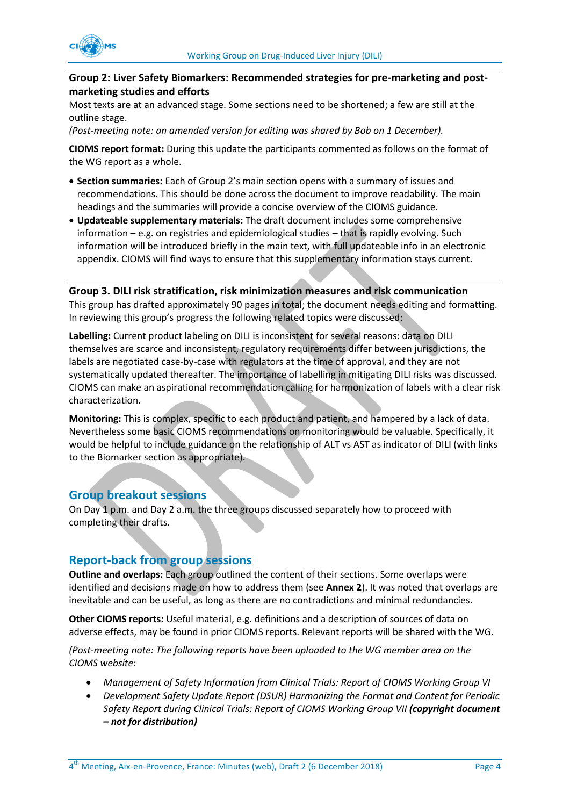



#### **Group 2: Liver Safety Biomarkers: Recommended strategies for pre-marketing and postmarketing studies and efforts**

Most texts are at an advanced stage. Some sections need to be shortened; a few are still at the outline stage.

*(Post-meeting note: an amended version for editing was shared by Bob on 1 December).*

**CIOMS report format:** During this update the participants commented as follows on the format of the WG report as a whole.

- **Section summaries:** Each of Group 2's main section opens with a summary of issues and recommendations. This should be done across the document to improve readability. The main headings and the summaries will provide a concise overview of the CIOMS guidance.
- **Updateable supplementary materials:** The draft document includes some comprehensive information – e.g. on registries and epidemiological studies – that is rapidly evolving. Such information will be introduced briefly in the main text, with full updateable info in an electronic appendix. CIOMS will find ways to ensure that this supplementary information stays current.

**Group 3. DILI risk stratification, risk minimization measures and risk communication**

This group has drafted approximately 90 pages in total; the document needs editing and formatting. In reviewing this group's progress the following related topics were discussed:

**Labelling:** Current product labeling on DILI is inconsistent for several reasons: data on DILI themselves are scarce and inconsistent, regulatory requirements differ between jurisdictions, the labels are negotiated case-by-case with regulators at the time of approval, and they are not systematically updated thereafter. The importance of labelling in mitigating DILI risks was discussed. CIOMS can make an aspirational recommendation calling for harmonization of labels with a clear risk characterization.

**Monitoring:** This is complex, specific to each product and patient, and hampered by a lack of data. Nevertheless some basic CIOMS recommendations on monitoring would be valuable. Specifically, it would be helpful to include guidance on the relationship of ALT vs AST as indicator of DILI (with links to the Biomarker section as appropriate).

## <span id="page-3-0"></span>**Group breakout sessions**

On Day 1 p.m. and Day 2 a.m. the three groups discussed separately how to proceed with completing their drafts.

#### <span id="page-3-1"></span>**Report-back from group sessions**

**Outline and overlaps:** Each group outlined the content of their sections. Some overlaps were identified and decisions made on how to address them (see **Annex 2**). It was noted that overlaps are inevitable and can be useful, as long as there are no contradictions and minimal redundancies.

**Other CIOMS reports:** Useful material, e.g. definitions and a description of sources of data on adverse effects, may be found in prior CIOMS reports. Relevant reports will be shared with the WG.

*(Post-meeting note: The following reports have been uploaded to the WG member area on the CIOMS website:*

- *Management of Safety Information from Clinical Trials: Report of CIOMS Working Group VI*
- *Development Safety Update Report (DSUR) Harmonizing the Format and Content for Periodic Safety Report during Clinical Trials: Report of CIOMS Working Group VII (copyright document – not for distribution)*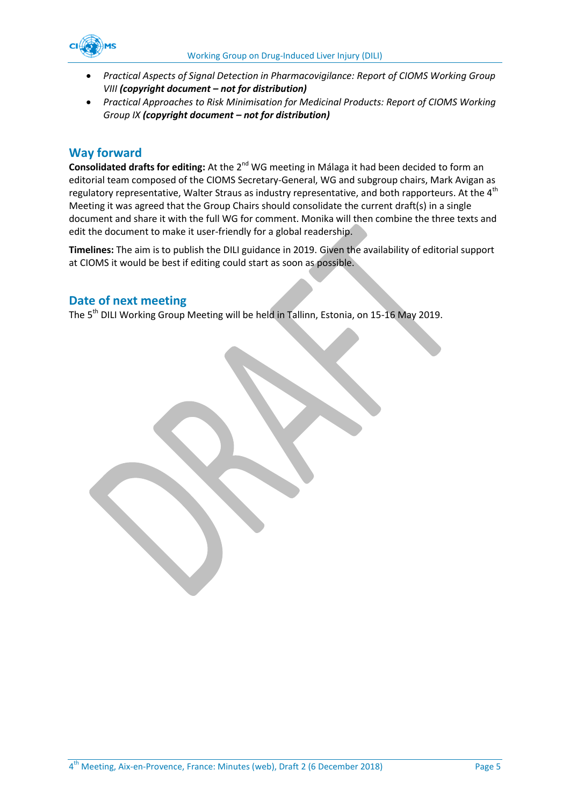



- *Practical Aspects of Signal Detection in Pharmacovigilance: Report of CIOMS Working Group VIII (copyright document – not for distribution)*
- *Practical Approaches to Risk Minimisation for Medicinal Products: Report of CIOMS Working Group IX (copyright document – not for distribution)*

#### <span id="page-4-0"></span>**Way forward**

Consolidated drafts for editing: At the 2<sup>nd</sup> WG meeting in Málaga it had been decided to form an editorial team composed of the CIOMS Secretary-General, WG and subgroup chairs, Mark Avigan as regulatory representative, Walter Straus as industry representative, and both rapporteurs. At the 4<sup>th</sup> Meeting it was agreed that the Group Chairs should consolidate the current draft(s) in a single document and share it with the full WG for comment. Monika will then combine the three texts and edit the document to make it user-friendly for a global readership.

**Timelines:** The aim is to publish the DILI guidance in 2019. Given the availability of editorial support at CIOMS it would be best if editing could start as soon as possible.

### <span id="page-4-1"></span>**Date of next meeting**

The 5<sup>th</sup> DILI Working Group Meeting will be held in Tallinn, Estonia, on 15-16 May 2019.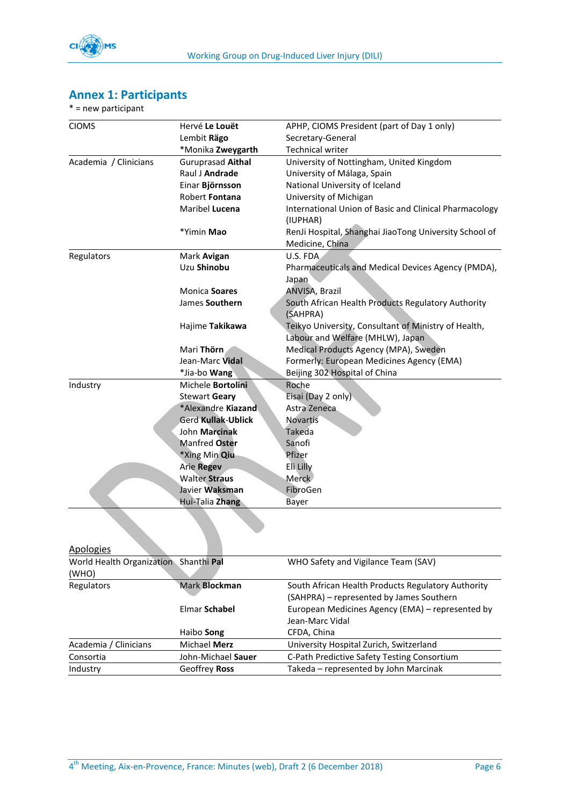

# <span id="page-5-0"></span>**Annex 1: Participants**

| $* = new$ participant |                           |                                                                                          |  |
|-----------------------|---------------------------|------------------------------------------------------------------------------------------|--|
| <b>CIOMS</b>          | Hervé Le Louët            | APHP, CIOMS President (part of Day 1 only)                                               |  |
|                       | Lembit Rägo               | Secretary-General                                                                        |  |
|                       | *Monika Zweygarth         | <b>Technical writer</b>                                                                  |  |
| Academia / Clinicians | Guruprasad Aithal         | University of Nottingham, United Kingdom                                                 |  |
|                       | Raul J Andrade            | University of Málaga, Spain                                                              |  |
|                       | Einar Björnsson           | National University of Iceland                                                           |  |
|                       | Robert Fontana            | University of Michigan                                                                   |  |
|                       | Maribel Lucena            | International Union of Basic and Clinical Pharmacology<br>(IUPHAR)                       |  |
|                       | *Yimin Mao                | RenJi Hospital, Shanghai JiaoTong University School of                                   |  |
|                       |                           | Medicine, China                                                                          |  |
| Regulators            | Mark Avigan               | U.S. FDA                                                                                 |  |
|                       | Uzu Shinobu               | Pharmaceuticals and Medical Devices Agency (PMDA),<br>Japan                              |  |
|                       | Monica Soares             | ANVISA, Brazil                                                                           |  |
|                       | James Southern            | South African Health Products Regulatory Authority<br>(SAHPRA)                           |  |
|                       | Hajime Takikawa           | Teikyo University, Consultant of Ministry of Health,<br>Labour and Welfare (MHLW), Japan |  |
|                       | Mari Thörn                | Medical Products Agency (MPA), Sweden                                                    |  |
|                       | Jean-Marc Vidal           | Formerly: European Medicines Agency (EMA)                                                |  |
|                       | *Jia-bo Wang              | Beijing 302 Hospital of China                                                            |  |
| Industry              | Michele Bortolini         | Roche                                                                                    |  |
|                       | <b>Stewart Geary</b>      | Eisai (Day 2 only)                                                                       |  |
|                       | *Alexandre Kiazand        | Astra Zeneca                                                                             |  |
|                       | <b>Gerd Kullak-Ublick</b> | <b>Novartis</b>                                                                          |  |
|                       | John Marcinak             | <b>Takeda</b>                                                                            |  |
|                       | Manfred Oster             | Sanofi                                                                                   |  |
|                       | *Xing Min Qiu             | Pfizer                                                                                   |  |
|                       | <b>Arie Regev</b>         | Eli Lilly                                                                                |  |
|                       | <b>Walter Straus</b>      | <b>Merck</b>                                                                             |  |
|                       | Javier Waksman            | FibroGen                                                                                 |  |
|                       | Hui-Talia Zhang           | Bayer                                                                                    |  |
| Anologies             |                           |                                                                                          |  |

| npologica                             |                      |                                                    |
|---------------------------------------|----------------------|----------------------------------------------------|
| World Health Organization Shanthi Pal |                      | WHO Safety and Vigilance Team (SAV)                |
| (WHO)                                 |                      |                                                    |
| Regulators                            | Mark <b>Blockman</b> | South African Health Products Regulatory Authority |
|                                       |                      | (SAHPRA) - represented by James Southern           |
|                                       | Elmar Schabel        | European Medicines Agency (EMA) - represented by   |
|                                       |                      | Jean-Marc Vidal                                    |
|                                       | Haibo Song           | CFDA, China                                        |
| Academia / Clinicians                 | Michael Merz         | University Hospital Zurich, Switzerland            |
| Consortia                             | John-Michael Sauer   | C-Path Predictive Safety Testing Consortium        |
| Industry                              | Geoffrey Ross        | Takeda - represented by John Marcinak              |
|                                       |                      |                                                    |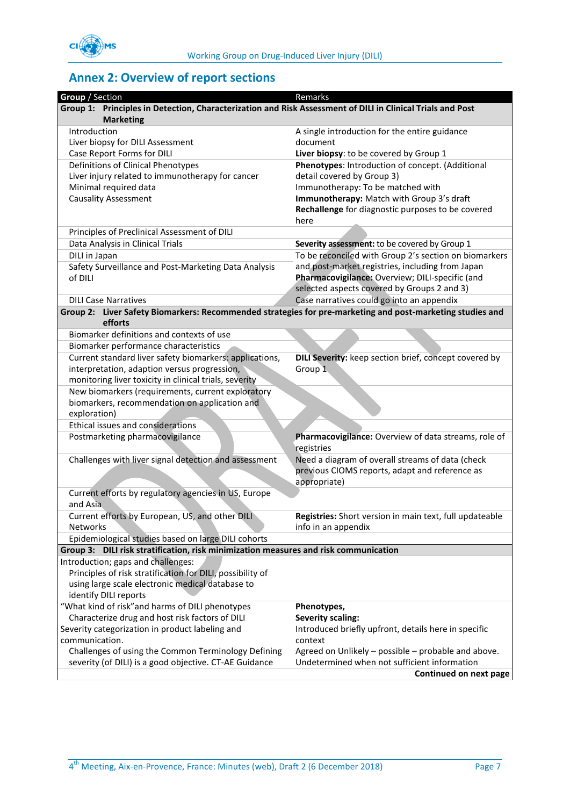

# <span id="page-6-0"></span>**Annex 2: Overview of report sections**

| Group / Section                                                                                                                             | Remarks                                                 |
|---------------------------------------------------------------------------------------------------------------------------------------------|---------------------------------------------------------|
| Group 1: Principles in Detection, Characterization and Risk Assessment of DILI in Clinical Trials and Post                                  |                                                         |
| <b>Marketing</b>                                                                                                                            |                                                         |
| Introduction                                                                                                                                | A single introduction for the entire guidance           |
| Liver biopsy for DILI Assessment                                                                                                            | document                                                |
| Case Report Forms for DILI                                                                                                                  | Liver biopsy: to be covered by Group 1                  |
| Definitions of Clinical Phenotypes                                                                                                          | Phenotypes: Introduction of concept. (Additional        |
| Liver injury related to immunotherapy for cancer                                                                                            | detail covered by Group 3)                              |
| Minimal required data                                                                                                                       | Immunotherapy: To be matched with                       |
| <b>Causality Assessment</b>                                                                                                                 | Immunotherapy: Match with Group 3's draft               |
|                                                                                                                                             | Rechallenge for diagnostic purposes to be covered       |
|                                                                                                                                             | here                                                    |
| Principles of Preclinical Assessment of DILI                                                                                                |                                                         |
| Data Analysis in Clinical Trials                                                                                                            | Severity assessment: to be covered by Group 1           |
| DILI in Japan                                                                                                                               | To be reconciled with Group 2's section on biomarkers   |
| Safety Surveillance and Post-Marketing Data Analysis                                                                                        | and post-market registries, including from Japan        |
| of DILI                                                                                                                                     | Pharmacovigilance: Overview; DILI-specific (and         |
|                                                                                                                                             | selected aspects covered by Groups 2 and 3)             |
| <b>DILI Case Narratives</b>                                                                                                                 | Case narratives could go into an appendix               |
| Group 2: Liver Safety Biomarkers: Recommended strategies for pre-marketing and post-marketing studies and                                   |                                                         |
| efforts                                                                                                                                     |                                                         |
| Biomarker definitions and contexts of use                                                                                                   |                                                         |
| Biomarker performance characteristics                                                                                                       |                                                         |
| Current standard liver safety biomarkers: applications,                                                                                     | DILI Severity: keep section brief, concept covered by   |
| interpretation, adaption versus progression,                                                                                                | Group <sub>1</sub>                                      |
| monitoring liver toxicity in clinical trials, severity                                                                                      |                                                         |
| New biomarkers (requirements, current exploratory                                                                                           |                                                         |
| biomarkers, recommendation on application and                                                                                               |                                                         |
| exploration)                                                                                                                                |                                                         |
| Ethical issues and considerations                                                                                                           |                                                         |
| Postmarketing pharmacovigilance                                                                                                             | Pharmacovigilance: Overview of data streams, role of    |
|                                                                                                                                             | registries                                              |
| Challenges with liver signal detection and assessment                                                                                       | Need a diagram of overall streams of data (check        |
|                                                                                                                                             | previous CIOMS reports, adapt and reference as          |
|                                                                                                                                             | appropriate)                                            |
| Current efforts by regulatory agencies in US, Europe<br>and Asia                                                                            |                                                         |
|                                                                                                                                             |                                                         |
| Current efforts by European, US, and other DILI                                                                                             | Registries: Short version in main text, full updateable |
| Networks                                                                                                                                    | info in an appendix                                     |
| Epidemiological studies based on large DILI cohorts<br>Group 3: DILI risk stratification, risk minimization measures and risk communication |                                                         |
| Introduction; gaps and challenges:                                                                                                          |                                                         |
| Principles of risk stratification for DILI, possibility of                                                                                  |                                                         |
| using large scale electronic medical database to                                                                                            |                                                         |
| identify DILI reports                                                                                                                       |                                                         |
| "What kind of risk" and harms of DILI phenotypes                                                                                            |                                                         |
| Characterize drug and host risk factors of DILI                                                                                             | Phenotypes,<br><b>Severity scaling:</b>                 |
| Severity categorization in product labeling and                                                                                             | Introduced briefly upfront, details here in specific    |
| communication.                                                                                                                              | context                                                 |
| Challenges of using the Common Terminology Defining                                                                                         | Agreed on Unlikely - possible - probable and above.     |
| severity (of DILI) is a good objective. CT-AE Guidance                                                                                      | Undetermined when not sufficient information            |
|                                                                                                                                             | Continued on next page                                  |
|                                                                                                                                             |                                                         |